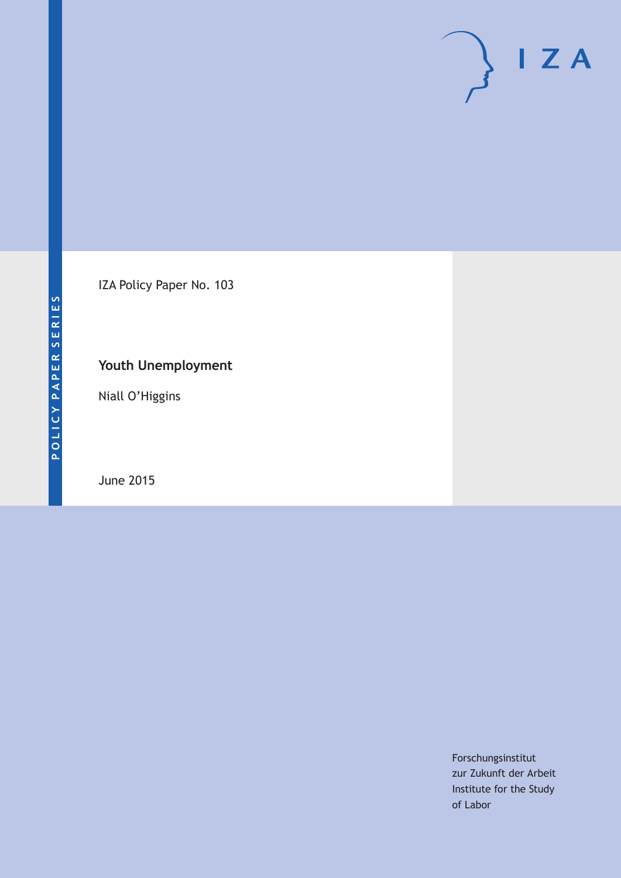IZA Policy Paper No. 103

### **Youth Unemployment**

Niall O'Higgins

June 2015

Forschungsinstitut zur Zukunft der Arbeit Institute for the Study of Labor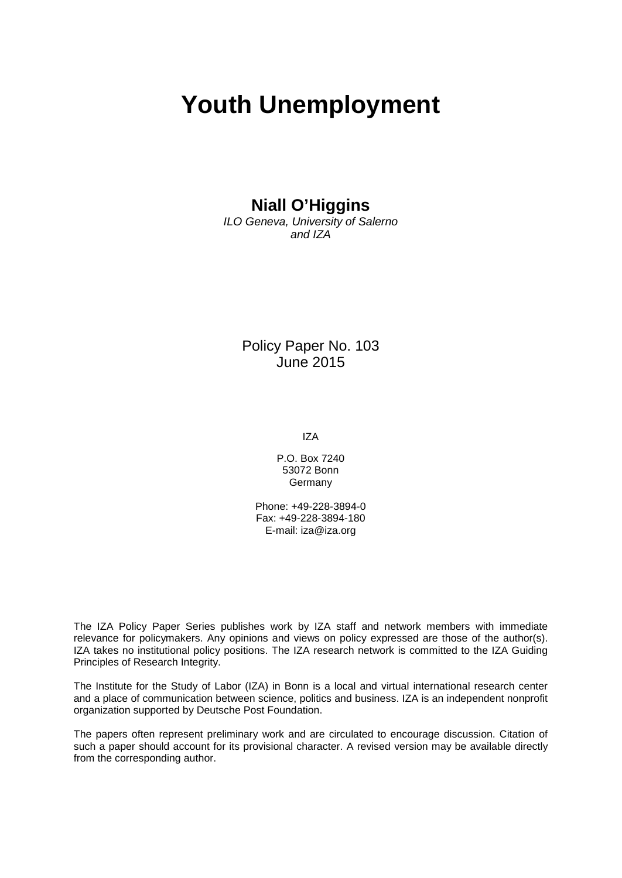# **Youth Unemployment**

### **Niall O'Higgins**

*ILO Geneva, University of Salerno and IZA*

> Policy Paper No. 103 June 2015

> > IZA

P.O. Box 7240 53072 Bonn Germany

Phone: +49-228-3894-0 Fax: +49-228-3894-180 E-mail: [iza@iza.org](mailto:iza@iza.org)

The IZA Policy Paper Series publishes work by IZA staff and network members with immediate relevance for policymakers. Any opinions and views on policy expressed are those of the author(s). IZA takes no institutional policy positions. The IZA research network is committed to the IZA Guiding Principles of Research Integrity.

The Institute for the Study of Labor (IZA) in Bonn is a local and virtual international research center and a place of communication between science, politics and business. IZA is an independent nonprofit organization supported by Deutsche Post Foundation.

<span id="page-1-0"></span>The papers often represent preliminary work and are circulated to encourage discussion. Citation of such a paper should account for its provisional character. A revised version may be available directly from the corresponding author.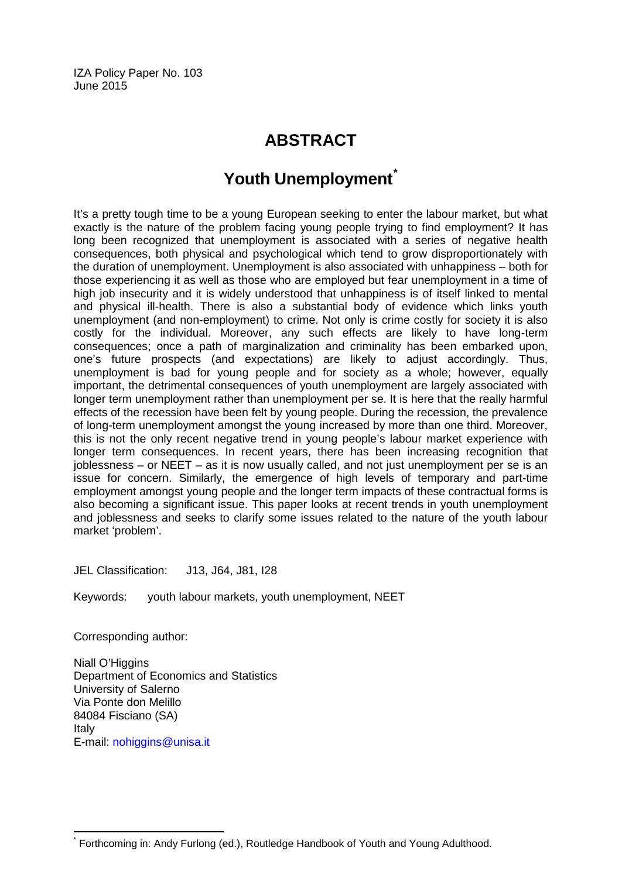IZA Policy Paper No. 103 June 2015

## **ABSTRACT**

# **Youth Unemployment[\\*](#page-1-0)**

It's a pretty tough time to be a young European seeking to enter the labour market, but what exactly is the nature of the problem facing young people trying to find employment? It has long been recognized that unemployment is associated with a series of negative health consequences, both physical and psychological which tend to grow disproportionately with the duration of unemployment. Unemployment is also associated with unhappiness – both for those experiencing it as well as those who are employed but fear unemployment in a time of high job insecurity and it is widely understood that unhappiness is of itself linked to mental and physical ill-health. There is also a substantial body of evidence which links youth unemployment (and non-employment) to crime. Not only is crime costly for society it is also costly for the individual. Moreover, any such effects are likely to have long-term consequences; once a path of marginalization and criminality has been embarked upon, one's future prospects (and expectations) are likely to adjust accordingly. Thus, unemployment is bad for young people and for society as a whole; however, equally important, the detrimental consequences of youth unemployment are largely associated with longer term unemployment rather than unemployment per se. It is here that the really harmful effects of the recession have been felt by young people. During the recession, the prevalence of long-term unemployment amongst the young increased by more than one third. Moreover, this is not the only recent negative trend in young people's labour market experience with longer term consequences. In recent years, there has been increasing recognition that joblessness – or NEET – as it is now usually called, and not just unemployment per se is an issue for concern. Similarly, the emergence of high levels of temporary and part-time employment amongst young people and the longer term impacts of these contractual forms is also becoming a significant issue. This paper looks at recent trends in youth unemployment and joblessness and seeks to clarify some issues related to the nature of the youth labour market 'problem'.

JEL Classification: J13, J64, J81, I28

Keywords: youth labour markets, youth unemployment, NEET

Corresponding author:

Niall O'Higgins Department of Economics and Statistics University of Salerno Via Ponte don Melillo 84084 Fisciano (SA) Italy E-mail: [nohiggins@unisa.it](mailto:nohiggins@unisa.it)

Forthcoming in: Andy Furlong (ed.), Routledge Handbook of Youth and Young Adulthood.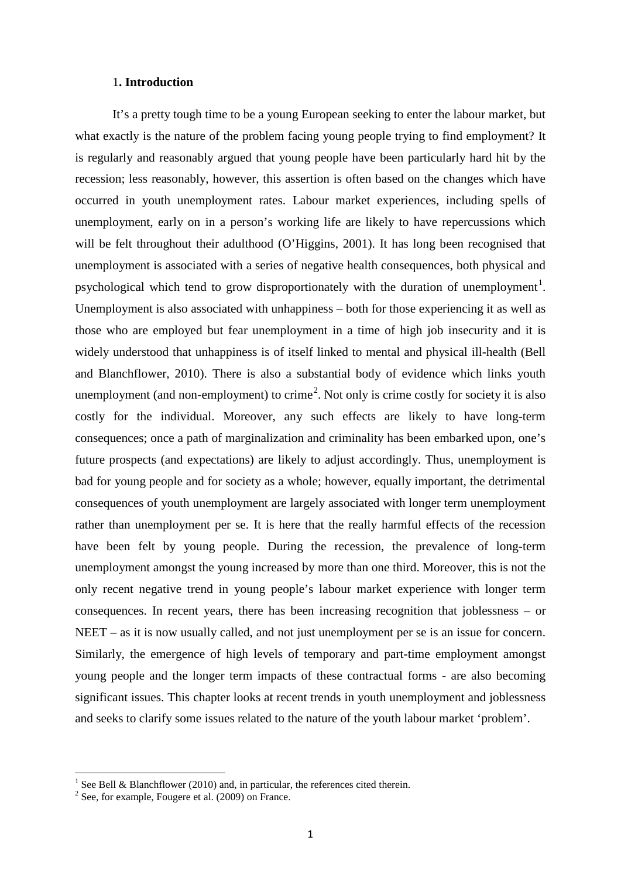#### 1**. Introduction**

It's a pretty tough time to be a young European seeking to enter the labour market, but what exactly is the nature of the problem facing young people trying to find employment? It is regularly and reasonably argued that young people have been particularly hard hit by the recession; less reasonably, however, this assertion is often based on the changes which have occurred in youth unemployment rates. Labour market experiences, including spells of unemployment, early on in a person's working life are likely to have repercussions which will be felt throughout their adulthood (O'Higgins, 2001). It has long been recognised that unemployment is associated with a series of negative health consequences, both physical and psychological which tend to grow disproportionately with the duration of unemployment<sup>1</sup>. Unemployment is also associated with unhappiness – both for those experiencing it as well as those who are employed but fear unemployment in a time of high job insecurity and it is widely understood that unhappiness is of itself linked to mental and physical ill-health (Bell and Blanchflower, 2010). There is also a substantial body of evidence which links youth unemployment (and non-employment) to crime<sup>[2](#page-3-0)</sup>. Not only is crime costly for society it is also costly for the individual. Moreover, any such effects are likely to have long-term consequences; once a path of marginalization and criminality has been embarked upon, one's future prospects (and expectations) are likely to adjust accordingly. Thus, unemployment is bad for young people and for society as a whole; however, equally important, the detrimental consequences of youth unemployment are largely associated with longer term unemployment rather than unemployment per se. It is here that the really harmful effects of the recession have been felt by young people. During the recession, the prevalence of long-term unemployment amongst the young increased by more than one third. Moreover, this is not the only recent negative trend in young people's labour market experience with longer term consequences. In recent years, there has been increasing recognition that joblessness – or NEET – as it is now usually called, and not just unemployment per se is an issue for concern. Similarly, the emergence of high levels of temporary and part-time employment amongst young people and the longer term impacts of these contractual forms - are also becoming significant issues. This chapter looks at recent trends in youth unemployment and joblessness and seeks to clarify some issues related to the nature of the youth labour market 'problem'.

<sup>&</sup>lt;sup>1</sup> See Bell & Blanchflower (2010) and, in particular, the references cited therein.

<span id="page-3-0"></span><sup>2</sup> See, for example, Fougere et al. (2009) on France.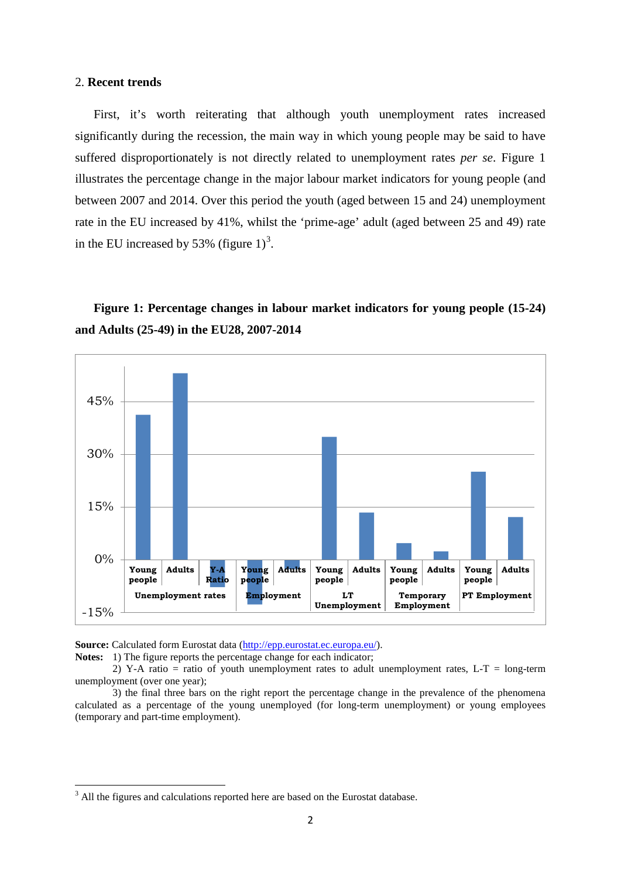#### 2. **Recent trends**

First, it's worth reiterating that although youth unemployment rates increased significantly during the recession, the main way in which young people may be said to have suffered disproportionately is not directly related to unemployment rates *per se*. Figure 1 illustrates the percentage change in the major labour market indicators for young people (and between 2007 and 2014. Over this period the youth (aged between 15 and 24) unemployment rate in the EU increased by 41%, whilst the 'prime-age' adult (aged between 25 and 49) rate in the EU increased by 5[3](#page-3-0)% (figure  $1)^3$ .

### **Figure 1: Percentage changes in labour market indicators for young people (15-24) and Adults (25-49) in the EU28, 2007-2014**



**Source:** Calculated form Eurostat data [\(http://epp.eurostat.ec.europa.eu/\)](http://epp.eurostat.ec.europa.eu/).

Notes: 1) The figure reports the percentage change for each indicator;

2) Y-A ratio = ratio of youth unemployment rates to adult unemployment rates, L-T = long-term unemployment (over one year);

3) the final three bars on the right report the percentage change in the prevalence of the phenomena calculated as a percentage of the young unemployed (for long-term unemployment) or young employees (temporary and part-time employment).

<span id="page-4-0"></span><sup>&</sup>lt;sup>3</sup> All the figures and calculations reported here are based on the Eurostat database.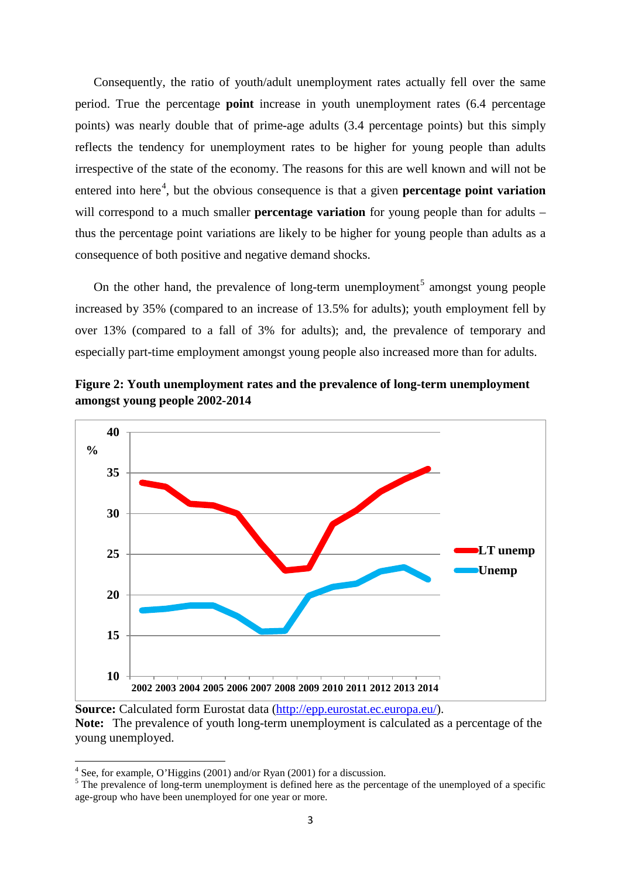Consequently, the ratio of youth/adult unemployment rates actually fell over the same period. True the percentage **point** increase in youth unemployment rates (6.4 percentage points) was nearly double that of prime-age adults (3.4 percentage points) but this simply reflects the tendency for unemployment rates to be higher for young people than adults irrespective of the state of the economy. The reasons for this are well known and will not be entered into here<sup>[4](#page-4-0)</sup>, but the obvious consequence is that a given **percentage point variation** will correspond to a much smaller **percentage variation** for young people than for adults – thus the percentage point variations are likely to be higher for young people than adults as a consequence of both positive and negative demand shocks.

On the other hand, the prevalence of long-term unemployment<sup>[5](#page-5-0)</sup> amongst young people increased by 35% (compared to an increase of 13.5% for adults); youth employment fell by over 13% (compared to a fall of 3% for adults); and, the prevalence of temporary and especially part-time employment amongst young people also increased more than for adults.



**Figure 2: Youth unemployment rates and the prevalence of long-term unemployment amongst young people 2002-2014**

**Source:** Calculated form Eurostat data [\(http://epp.eurostat.ec.europa.eu/\)](http://epp.eurostat.ec.europa.eu/).

<span id="page-5-1"></span>**Note:** The prevalence of youth long-term unemployment is calculated as a percentage of the young unemployed.

<sup>4</sup> See, for example, O'Higgins (2001) and/or Ryan (2001) for a discussion.

<span id="page-5-0"></span><sup>&</sup>lt;sup>5</sup>The prevalence of long-term unemployment is defined here as the percentage of the unemployed of a specific age-group who have been unemployed for one year or more.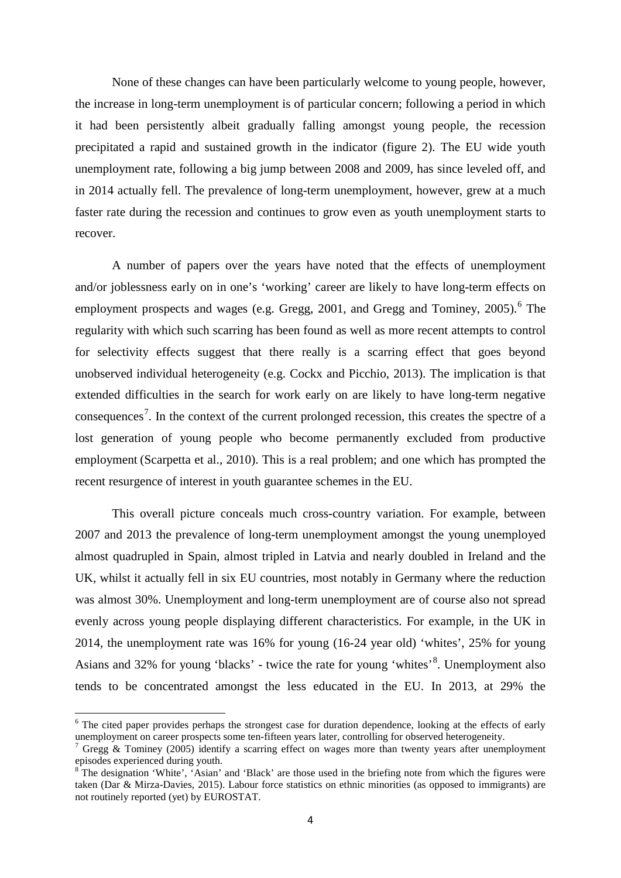None of these changes can have been particularly welcome to young people, however, the increase in long-term unemployment is of particular concern; following a period in which it had been persistently albeit gradually falling amongst young people, the recession precipitated a rapid and sustained growth in the indicator (figure 2). The EU wide youth unemployment rate, following a big jump between 2008 and 2009, has since leveled off, and in 2014 actually fell. The prevalence of long-term unemployment, however, grew at a much faster rate during the recession and continues to grow even as youth unemployment starts to recover.

A number of papers over the years have noted that the effects of unemployment and/or joblessness early on in one's 'working' career are likely to have long-term effects on employment prospects and wages (e.g. Gregg,  $2001$ , and Gregg and Tominey,  $2005$ ).<sup>[6](#page-5-1)</sup> The regularity with which such scarring has been found as well as more recent attempts to control for selectivity effects suggest that there really is a scarring effect that goes beyond unobserved individual heterogeneity (e.g. Cockx and Picchio, 2013). The implication is that extended difficulties in the search for work early on are likely to have long-term negative consequences<sup>[7](#page-6-0)</sup>. In the context of the current prolonged recession, this creates the spectre of a lost generation of young people who become permanently excluded from productive employment (Scarpetta et al., 2010). This is a real problem; and one which has prompted the recent resurgence of interest in youth guarantee schemes in the EU.

This overall picture conceals much cross-country variation. For example, between 2007 and 2013 the prevalence of long-term unemployment amongst the young unemployed almost quadrupled in Spain, almost tripled in Latvia and nearly doubled in Ireland and the UK, whilst it actually fell in six EU countries, most notably in Germany where the reduction was almost 30%. Unemployment and long-term unemployment are of course also not spread evenly across young people displaying different characteristics. For example, in the UK in 2014, the unemployment rate was 16% for young (16-24 year old) 'whites', 25% for young Asians and 32% for young 'blacks' - twice the rate for young 'whites'<sup>[8](#page-6-1)</sup>. Unemployment also tends to be concentrated amongst the less educated in the EU. In 2013, at 29% the

<span id="page-6-2"></span> $6$  The cited paper provides perhaps the strongest case for duration dependence, looking at the effects of early unemployment on career prospects some ten-fifteen years later, controlling for observed heterogeneity.

<span id="page-6-0"></span>Gregg & Tominey (2005) identify a scarring effect on wages more than twenty years after unemployment episodes experienced during youth.

<span id="page-6-1"></span>The designation 'White', 'Asian' and 'Black' are those used in the briefing note from which the figures were taken (Dar & Mirza-Davies, 2015). Labour force statistics on ethnic minorities (as opposed to immigrants) are not routinely reported (yet) by EUROSTAT.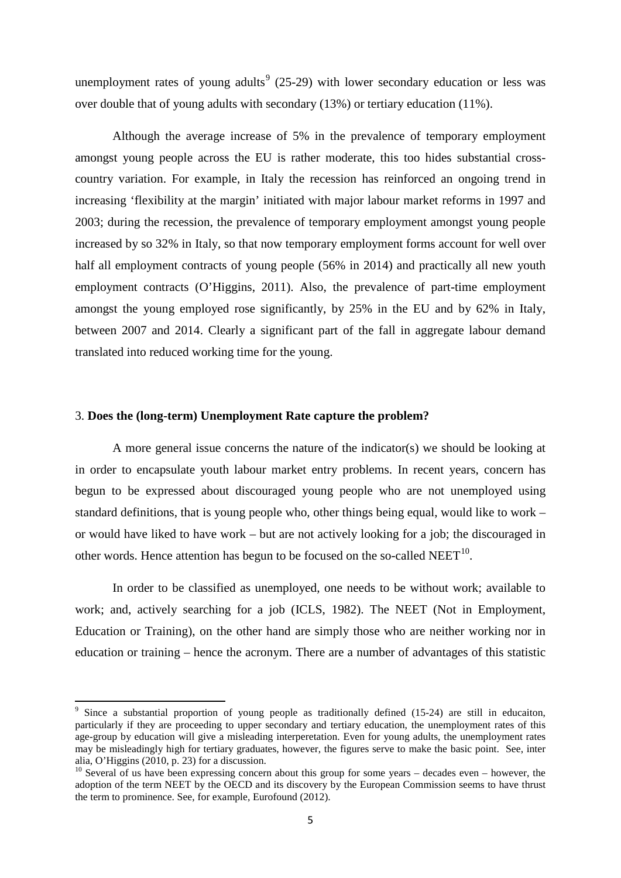unemployment rates of young adults<sup>[9](#page-6-2)</sup> (25-29) with lower secondary education or less was over double that of young adults with secondary (13%) or tertiary education (11%).

Although the average increase of 5% in the prevalence of temporary employment amongst young people across the EU is rather moderate, this too hides substantial crosscountry variation. For example, in Italy the recession has reinforced an ongoing trend in increasing 'flexibility at the margin' initiated with major labour market reforms in 1997 and 2003; during the recession, the prevalence of temporary employment amongst young people increased by so 32% in Italy, so that now temporary employment forms account for well over half all employment contracts of young people (56% in 2014) and practically all new youth employment contracts (O'Higgins, 2011). Also, the prevalence of part-time employment amongst the young employed rose significantly, by 25% in the EU and by 62% in Italy, between 2007 and 2014. Clearly a significant part of the fall in aggregate labour demand translated into reduced working time for the young.

#### 3. **Does the (long-term) Unemployment Rate capture the problem?**

A more general issue concerns the nature of the indicator(s) we should be looking at in order to encapsulate youth labour market entry problems. In recent years, concern has begun to be expressed about discouraged young people who are not unemployed using standard definitions, that is young people who, other things being equal, would like to work – or would have liked to have work – but are not actively looking for a job; the discouraged in other words. Hence attention has begun to be focused on the so-called  $NEET<sup>10</sup>$  $NEET<sup>10</sup>$  $NEET<sup>10</sup>$ .

In order to be classified as unemployed, one needs to be without work; available to work; and, actively searching for a job (ICLS, 1982). The NEET (Not in Employment, Education or Training), on the other hand are simply those who are neither working nor in education or training – hence the acronym. There are a number of advantages of this statistic

<span id="page-7-1"></span><sup>&</sup>lt;sup>9</sup> Since a substantial proportion of young people as traditionally defined (15-24) are still in educaiton, particularly if they are proceeding to upper secondary and tertiary education, the unemployment rates of this age-group by education will give a misleading interperetation. Even for young adults, the unemployment rates may be misleadingly high for tertiary graduates, however, the figures serve to make the basic point. See, inter alia, O'Higgins (2010, p. 23) for a discussion.

<span id="page-7-0"></span> $10$  Several of us have been expressing concern about this group for some years – decades even – however, the adoption of the term NEET by the OECD and its discovery by the European Commission seems to have thrust the term to prominence. See, for example, Eurofound (2012).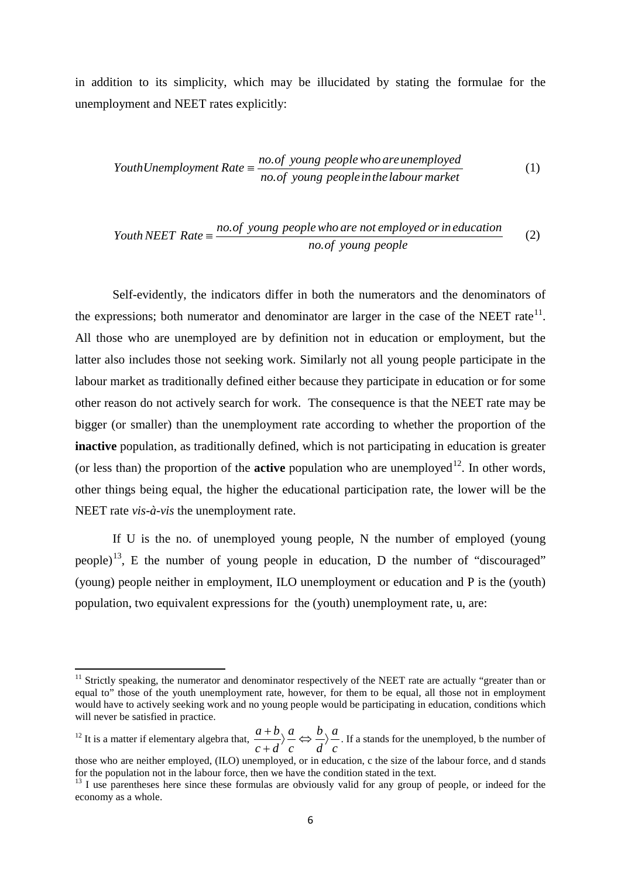in addition to its simplicity, which may be illucidated by stating the formulae for the unemployment and NEET rates explicitly:

$$
You th Un employment Rate = \frac{no. of young people who are unemployed}{no. of young people in the labour market}
$$
\n(1)

*Youth NEET Rate* = 
$$
\frac{no.of young people who are not employed or in education no.of young people}
$$
 (2)

Self-evidently, the indicators differ in both the numerators and the denominators of the expressions; both numerator and denominator are larger in the case of the NEET rate<sup>[11](#page-7-1)</sup>. All those who are unemployed are by definition not in education or employment, but the latter also includes those not seeking work. Similarly not all young people participate in the labour market as traditionally defined either because they participate in education or for some other reason do not actively search for work. The consequence is that the NEET rate may be bigger (or smaller) than the unemployment rate according to whether the proportion of the **inactive** population, as traditionally defined, which is not participating in education is greater (or less than) the proportion of the **active** population who are unemployed<sup>12</sup>. In other words, other things being equal, the higher the educational participation rate, the lower will be the NEET rate *vis-à-vis* the unemployment rate.

If U is the no. of unemployed young people, N the number of employed (young people)<sup>13</sup>, E the number of young people in education, D the number of "discouraged" (young) people neither in employment, ILO unemployment or education and P is the (youth) population, two equivalent expressions for the (youth) unemployment rate, u, are:

<sup>&</sup>lt;sup>11</sup> Strictly speaking, the numerator and denominator respectively of the NEET rate are actually "greater than or equal to" those of the youth unemployment rate, however, for them to be equal, all those not in employment would have to actively seeking work and no young people would be participating in education, conditions which will never be satisfied in practice.

<span id="page-8-0"></span> $12$  It is a matter if elementary algebra that, *c a d b c a c d*  $rac{a+b}{b}$   $\Leftrightarrow$   $\frac{b}{c}$ +  $\frac{+b}{-}$   $\frac{a}{-}$   $\Leftrightarrow$   $\frac{b}{-}$   $\frac{a}{-}$ . If a stands for the unemployed, b the number of

<span id="page-8-2"></span>those who are neither employed, (ILO) unemployed, or in education, c the size of the labour force, and d stands for the population not in the labour force, then we have the condition stated in the text.

<span id="page-8-1"></span><sup>&</sup>lt;sup>13</sup> I use parentheses here since these formulas are obviously valid for any group of people, or indeed for the economy as a whole.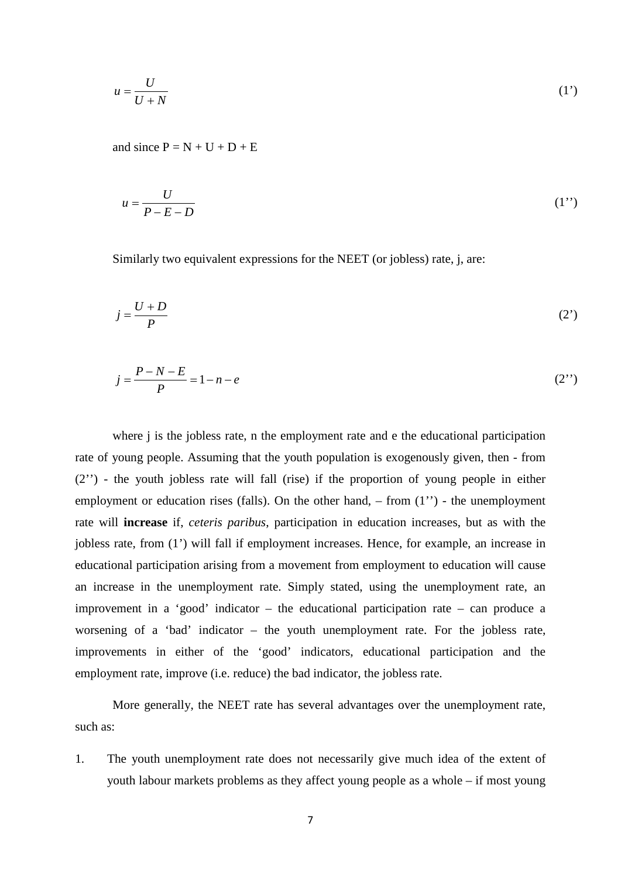$$
u = \frac{U}{U + N} \tag{1'}
$$

and since  $P = N + U + D + E$ 

$$
u = \frac{U}{P - E - D} \tag{1'}
$$

Similarly two equivalent expressions for the NEET (or jobless) rate, j, are:

$$
j = \frac{U + D}{P} \tag{2'}
$$

$$
j = \frac{P - N - E}{P} = 1 - n - e \tag{2'}
$$

where *j* is the jobless rate, *n* the employment rate and *e* the educational participation rate of young people. Assuming that the youth population is exogenously given, then - from (2'') - the youth jobless rate will fall (rise) if the proportion of young people in either employment or education rises (falls). On the other hand,  $-$  from  $(1'')$  - the unemployment rate will **increase** if, *ceteris paribus*, participation in education increases, but as with the jobless rate, from (1') will fall if employment increases. Hence, for example, an increase in educational participation arising from a movement from employment to education will cause an increase in the unemployment rate. Simply stated, using the unemployment rate, an improvement in a 'good' indicator – the educational participation rate – can produce a worsening of a 'bad' indicator – the youth unemployment rate. For the jobless rate, improvements in either of the 'good' indicators, educational participation and the employment rate, improve (i.e. reduce) the bad indicator, the jobless rate.

More generally, the NEET rate has several advantages over the unemployment rate, such as:

1. The youth unemployment rate does not necessarily give much idea of the extent of youth labour markets problems as they affect young people as a whole – if most young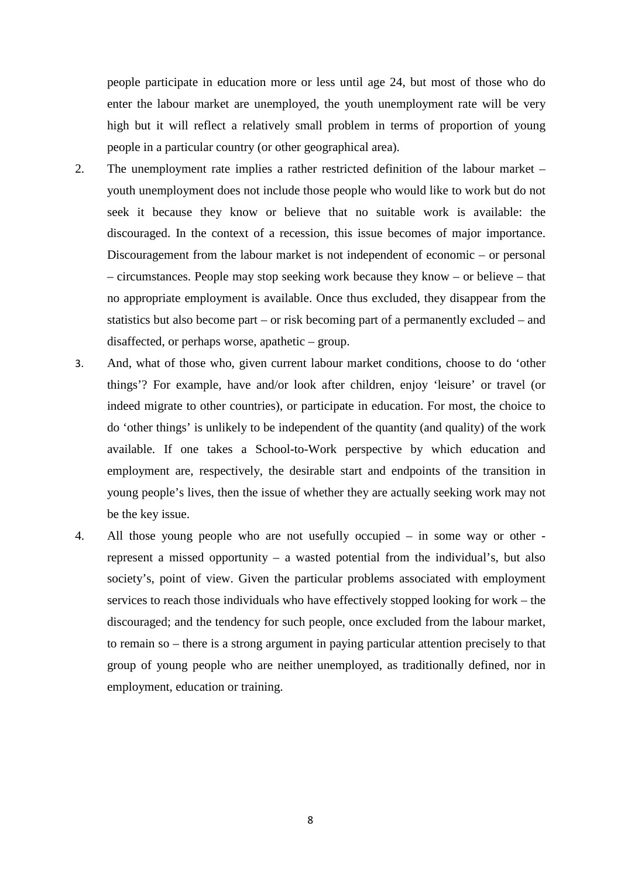people participate in education more or less until age 24, but most of those who do enter the labour market are unemployed, the youth unemployment rate will be very high but it will reflect a relatively small problem in terms of proportion of young people in a particular country (or other geographical area).

- 2. The unemployment rate implies a rather restricted definition of the labour market youth unemployment does not include those people who would like to work but do not seek it because they know or believe that no suitable work is available: the discouraged. In the context of a recession, this issue becomes of major importance. Discouragement from the labour market is not independent of economic – or personal – circumstances. People may stop seeking work because they know – or believe – that no appropriate employment is available. Once thus excluded, they disappear from the statistics but also become part – or risk becoming part of a permanently excluded – and disaffected, or perhaps worse, apathetic – group.
- 3. And, what of those who, given current labour market conditions, choose to do 'other things'? For example, have and/or look after children, enjoy 'leisure' or travel (or indeed migrate to other countries), or participate in education. For most, the choice to do 'other things' is unlikely to be independent of the quantity (and quality) of the work available. If one takes a School-to-Work perspective by which education and employment are, respectively, the desirable start and endpoints of the transition in young people's lives, then the issue of whether they are actually seeking work may not be the key issue.
- 4. All those young people who are not usefully occupied in some way or other represent a missed opportunity – a wasted potential from the individual's, but also society's, point of view. Given the particular problems associated with employment services to reach those individuals who have effectively stopped looking for work – the discouraged; and the tendency for such people, once excluded from the labour market, to remain so – there is a strong argument in paying particular attention precisely to that group of young people who are neither unemployed, as traditionally defined, nor in employment, education or training.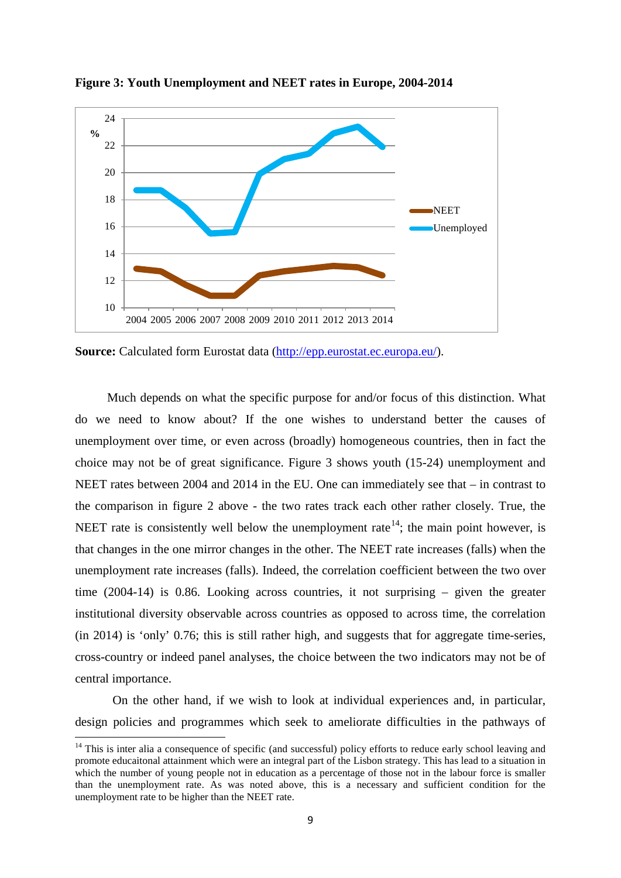

**Figure 3: Youth Unemployment and NEET rates in Europe, 2004-2014**

**Source:** Calculated form Eurostat data [\(http://epp.eurostat.ec.europa.eu/\)](http://epp.eurostat.ec.europa.eu/).

Much depends on what the specific purpose for and/or focus of this distinction. What do we need to know about? If the one wishes to understand better the causes of unemployment over time, or even across (broadly) homogeneous countries, then in fact the choice may not be of great significance. Figure 3 shows youth (15-24) unemployment and NEET rates between 2004 and 2014 in the EU. One can immediately see that – in contrast to the comparison in figure 2 above - the two rates track each other rather closely. True, the NEET rate is consistently well below the unemployment rate<sup>[14](#page-8-2)</sup>; the main point however, is that changes in the one mirror changes in the other. The NEET rate increases (falls) when the unemployment rate increases (falls). Indeed, the correlation coefficient between the two over time (2004-14) is 0.86. Looking across countries, it not surprising – given the greater institutional diversity observable across countries as opposed to across time, the correlation (in 2014) is 'only' 0.76; this is still rather high, and suggests that for aggregate time-series, cross-country or indeed panel analyses, the choice between the two indicators may not be of central importance.

On the other hand, if we wish to look at individual experiences and, in particular, design policies and programmes which seek to ameliorate difficulties in the pathways of

<span id="page-11-0"></span><sup>&</sup>lt;sup>14</sup> This is inter alia a consequence of specific (and successful) policy efforts to reduce early school leaving and promote educaitonal attainment which were an integral part of the Lisbon strategy. This has lead to a situation in which the number of young people not in education as a percentage of those not in the labour force is smaller than the unemployment rate. As was noted above, this is a necessary and sufficient condition for the unemployment rate to be higher than the NEET rate.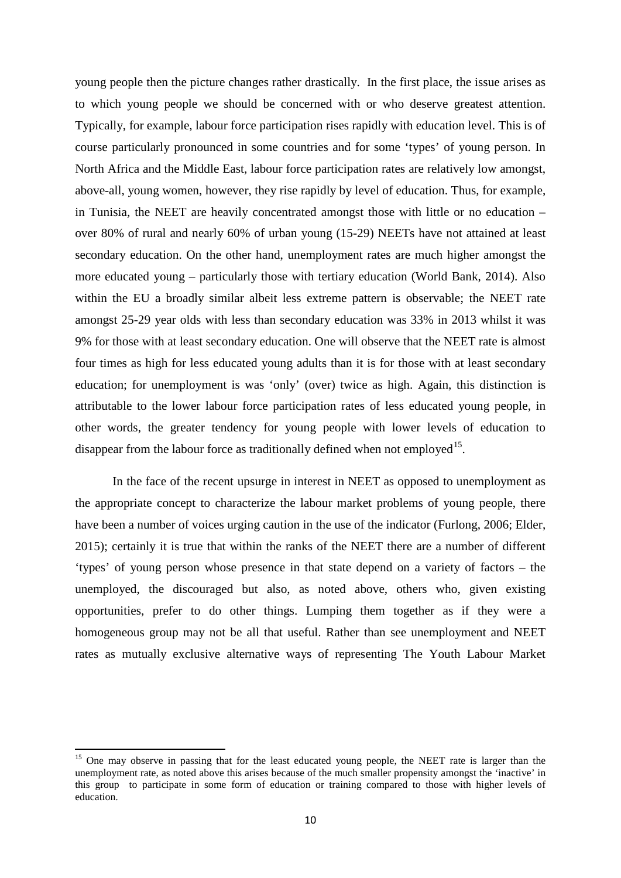young people then the picture changes rather drastically. In the first place, the issue arises as to which young people we should be concerned with or who deserve greatest attention. Typically, for example, labour force participation rises rapidly with education level. This is of course particularly pronounced in some countries and for some 'types' of young person. In North Africa and the Middle East, labour force participation rates are relatively low amongst, above-all, young women, however, they rise rapidly by level of education. Thus, for example, in Tunisia, the NEET are heavily concentrated amongst those with little or no education – over 80% of rural and nearly 60% of urban young (15-29) NEETs have not attained at least secondary education. On the other hand, unemployment rates are much higher amongst the more educated young – particularly those with tertiary education (World Bank, 2014). Also within the EU a broadly similar albeit less extreme pattern is observable; the NEET rate amongst 25-29 year olds with less than secondary education was 33% in 2013 whilst it was 9% for those with at least secondary education. One will observe that the NEET rate is almost four times as high for less educated young adults than it is for those with at least secondary education; for unemployment is was 'only' (over) twice as high. Again, this distinction is attributable to the lower labour force participation rates of less educated young people, in other words, the greater tendency for young people with lower levels of education to disappear from the labour force as traditionally defined when not employed<sup>[15](#page-11-0)</sup>.

In the face of the recent upsurge in interest in NEET as opposed to unemployment as the appropriate concept to characterize the labour market problems of young people, there have been a number of voices urging caution in the use of the indicator (Furlong, 2006; Elder, 2015); certainly it is true that within the ranks of the NEET there are a number of different 'types' of young person whose presence in that state depend on a variety of factors – the unemployed, the discouraged but also, as noted above, others who, given existing opportunities, prefer to do other things. Lumping them together as if they were a homogeneous group may not be all that useful. Rather than see unemployment and NEET rates as mutually exclusive alternative ways of representing The Youth Labour Market

<span id="page-12-0"></span><sup>&</sup>lt;sup>15</sup> One may observe in passing that for the least educated young people, the NEET rate is larger than the unemployment rate, as noted above this arises because of the much smaller propensity amongst the 'inactive' in this group to participate in some form of education or training compared to those with higher levels of education.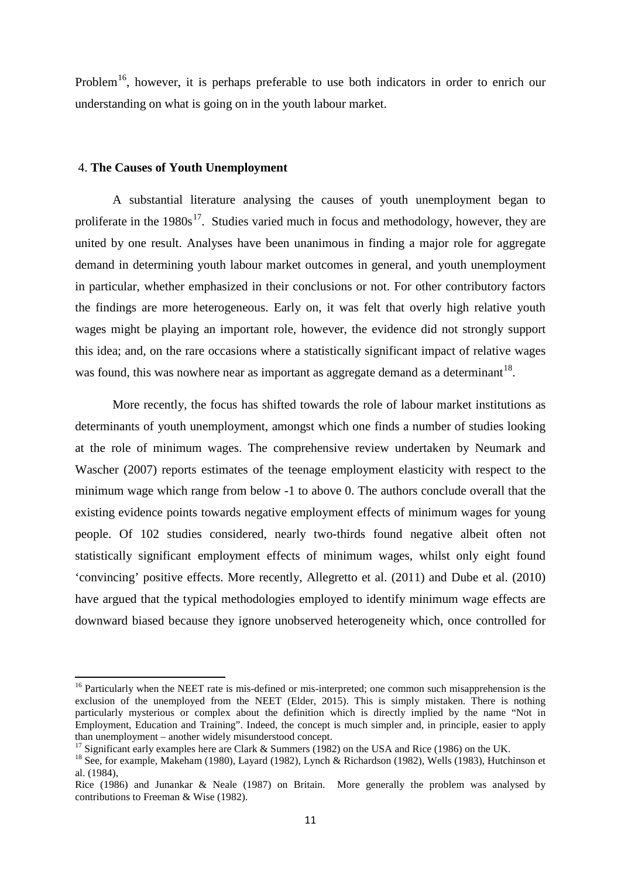Problem<sup>[16](#page-12-0)</sup>, however, it is perhaps preferable to use both indicators in order to enrich our understanding on what is going on in the youth labour market.

#### 4. **The Causes of Youth Unemployment**

A substantial literature analysing the causes of youth unemployment began to proliferate in the  $1980s^{17}$  $1980s^{17}$  $1980s^{17}$ . Studies varied much in focus and methodology, however, they are united by one result. Analyses have been unanimous in finding a major role for aggregate demand in determining youth labour market outcomes in general, and youth unemployment in particular, whether emphasized in their conclusions or not. For other contributory factors the findings are more heterogeneous. Early on, it was felt that overly high relative youth wages might be playing an important role, however, the evidence did not strongly support this idea; and, on the rare occasions where a statistically significant impact of relative wages was found, this was nowhere near as important as aggregate demand as a determinant  $18$ .

More recently, the focus has shifted towards the role of labour market institutions as determinants of youth unemployment, amongst which one finds a number of studies looking at the role of minimum wages. The comprehensive review undertaken by Neumark and Wascher (2007) reports estimates of the teenage employment elasticity with respect to the minimum wage which range from below -1 to above 0. The authors conclude overall that the existing evidence points towards negative employment effects of minimum wages for young people. Of 102 studies considered, nearly two-thirds found negative albeit often not statistically significant employment effects of minimum wages, whilst only eight found 'convincing' positive effects. More recently, Allegretto et al. (2011) and Dube et al. (2010) have argued that the typical methodologies employed to identify minimum wage effects are downward biased because they ignore unobserved heterogeneity which, once controlled for

<span id="page-13-2"></span><sup>&</sup>lt;sup>16</sup> Particularly when the NEET rate is mis-defined or mis-interpreted; one common such misapprehension is the exclusion of the unemployed from the NEET (Elder, 2015). This is simply mistaken. There is nothing particularly mysterious or complex about the definition which is directly implied by the name "Not in Employment, Education and Training". Indeed, the concept is much simpler and, in principle, easier to apply

<span id="page-13-1"></span><span id="page-13-0"></span><sup>&</sup>lt;sup>17</sup> Significant early examples here are Clark & Summers (1982) on the USA and Rice (1986) on the UK.<br><sup>18</sup> See, for example, Makeham (1980), Layard (1982), Lynch & Richardson (1982), Wells (1983), Hutchinson et al. (1984),

Rice (1986) and Junankar & Neale (1987) on Britain. More generally the problem was analysed by contributions to Freeman & Wise (1982).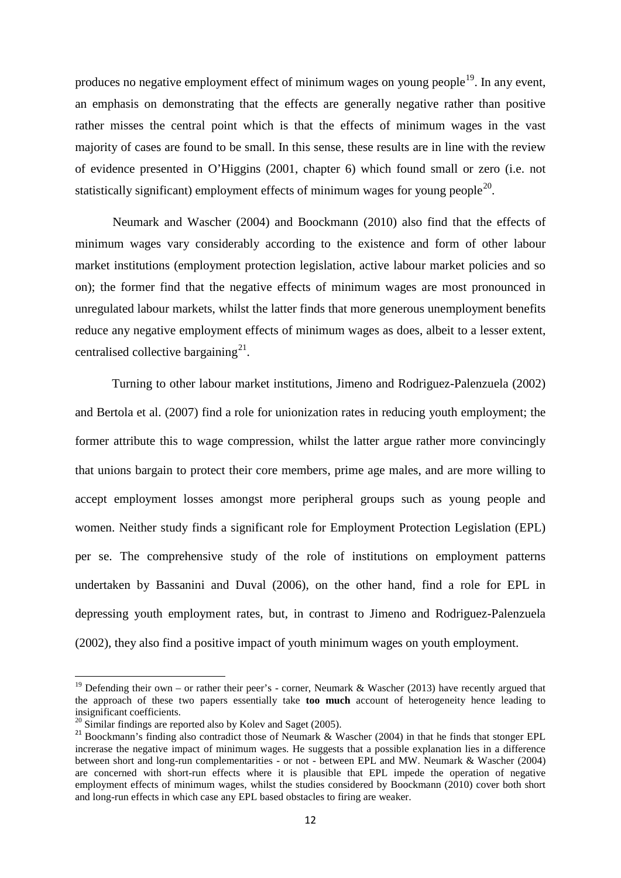produces no negative employment effect of minimum wages on young people<sup>19</sup>. In any event, an emphasis on demonstrating that the effects are generally negative rather than positive rather misses the central point which is that the effects of minimum wages in the vast majority of cases are found to be small. In this sense, these results are in line with the review of evidence presented in O'Higgins (2001, chapter 6) which found small or zero (i.e. not statistically significant) employment effects of minimum wages for young people<sup>20</sup>.

Neumark and Wascher (2004) and Boockmann (2010) also find that the effects of minimum wages vary considerably according to the existence and form of other labour market institutions (employment protection legislation, active labour market policies and so on); the former find that the negative effects of minimum wages are most pronounced in unregulated labour markets, whilst the latter finds that more generous unemployment benefits reduce any negative employment effects of minimum wages as does, albeit to a lesser extent, centralised collective bargaining<sup>21</sup>.

Turning to other labour market institutions, Jimeno and Rodriguez-Palenzuela (2002) and Bertola et al. (2007) find a role for unionization rates in reducing youth employment; the former attribute this to wage compression, whilst the latter argue rather more convincingly that unions bargain to protect their core members, prime age males, and are more willing to accept employment losses amongst more peripheral groups such as young people and women. Neither study finds a significant role for Employment Protection Legislation (EPL) per se. The comprehensive study of the role of institutions on employment patterns undertaken by Bassanini and Duval (2006), on the other hand, find a role for EPL in depressing youth employment rates, but, in contrast to Jimeno and Rodriguez-Palenzuela (2002), they also find a positive impact of youth minimum wages on youth employment.

<span id="page-14-2"></span><sup>&</sup>lt;sup>19</sup> Defending their own – or rather their peer's - corner, Neumark & Wascher (2013) have recently argued that the approach of these two papers essentially take **too much** account of heterogeneity hence leading to insignificant coefficients.<br><sup>20</sup> Similar findings are reported also by Kolev and Saget (2005).

<span id="page-14-1"></span><span id="page-14-0"></span><sup>&</sup>lt;sup>21</sup> Boockmann's finding also contradict those of Neumark & Wascher (2004) in that he finds that stonger EPL increrase the negative impact of minimum wages. He suggests that a possible explanation lies in a difference between short and long-run complementarities - or not - between EPL and MW. Neumark & Wascher (2004) are concerned with short-run effects where it is plausible that EPL impede the operation of negative employment effects of minimum wages, whilst the studies considered by Boockmann (2010) cover both short and long-run effects in which case any EPL based obstacles to firing are weaker.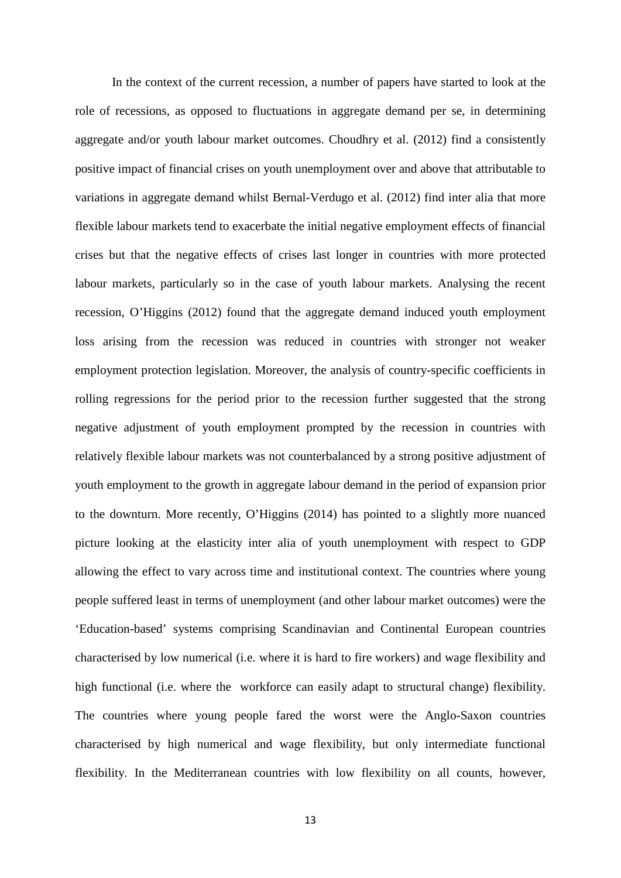In the context of the current recession, a number of papers have started to look at the role of recessions, as opposed to fluctuations in aggregate demand per se, in determining aggregate and/or youth labour market outcomes. Choudhry et al. (2012) find a consistently positive impact of financial crises on youth unemployment over and above that attributable to variations in aggregate demand whilst Bernal-Verdugo et al. (2012) find inter alia that more flexible labour markets tend to exacerbate the initial negative employment effects of financial crises but that the negative effects of crises last longer in countries with more protected labour markets, particularly so in the case of youth labour markets. Analysing the recent recession, O'Higgins (2012) found that the aggregate demand induced youth employment loss arising from the recession was reduced in countries with stronger not weaker employment protection legislation. Moreover, the analysis of country-specific coefficients in rolling regressions for the period prior to the recession further suggested that the strong negative adjustment of youth employment prompted by the recession in countries with relatively flexible labour markets was not counterbalanced by a strong positive adjustment of youth employment to the growth in aggregate labour demand in the period of expansion prior to the downturn. More recently, O'Higgins (2014) has pointed to a slightly more nuanced picture looking at the elasticity inter alia of youth unemployment with respect to GDP allowing the effect to vary across time and institutional context. The countries where young people suffered least in terms of unemployment (and other labour market outcomes) were the 'Education-based' systems comprising Scandinavian and Continental European countries characterised by low numerical (i.e. where it is hard to fire workers) and wage flexibility and high functional (i.e. where the workforce can easily adapt to structural change) flexibility. The countries where young people fared the worst were the Anglo-Saxon countries characterised by high numerical and wage flexibility, but only intermediate functional flexibility. In the Mediterranean countries with low flexibility on all counts, however,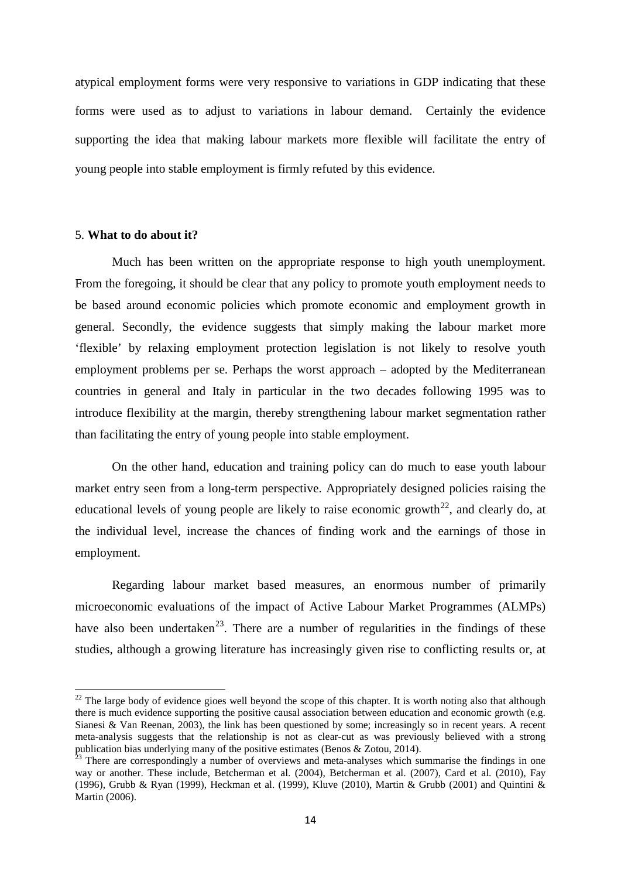atypical employment forms were very responsive to variations in GDP indicating that these forms were used as to adjust to variations in labour demand. Certainly the evidence supporting the idea that making labour markets more flexible will facilitate the entry of young people into stable employment is firmly refuted by this evidence.

#### 5. **What to do about it?**

Much has been written on the appropriate response to high youth unemployment. From the foregoing, it should be clear that any policy to promote youth employment needs to be based around economic policies which promote economic and employment growth in general. Secondly, the evidence suggests that simply making the labour market more 'flexible' by relaxing employment protection legislation is not likely to resolve youth employment problems per se. Perhaps the worst approach – adopted by the Mediterranean countries in general and Italy in particular in the two decades following 1995 was to introduce flexibility at the margin, thereby strengthening labour market segmentation rather than facilitating the entry of young people into stable employment.

On the other hand, education and training policy can do much to ease youth labour market entry seen from a long-term perspective. Appropriately designed policies raising the educational levels of young people are likely to raise economic growth<sup>22</sup>, and clearly do, at the individual level, increase the chances of finding work and the earnings of those in employment.

Regarding labour market based measures, an enormous number of primarily microeconomic evaluations of the impact of Active Labour Market Programmes (ALMPs) have also been undertaken<sup>23</sup>. There are a number of regularities in the findings of these studies, although a growing literature has increasingly given rise to conflicting results or, at

<span id="page-16-1"></span> $22$  The large body of evidence gioes well beyond the scope of this chapter. It is worth noting also that although there is much evidence supporting the positive causal association between education and economic growth (e.g. Sianesi & Van Reenan, 2003), the link has been questioned by some; increasingly so in recent years. A recent meta-analysis suggests that the relationship is not as clear-cut as was previously believed with a strong publication bias underlying many of the positive estimates (Benos & Zotou, 2014).

<span id="page-16-0"></span><sup>&</sup>lt;sup>23</sup> There are correspondingly a number of overviews and meta-analyses which summarise the findings in one way or another. These include, Betcherman et al. (2004), Betcherman et al. (2007), Card et al. (2010), Fay (1996), Grubb & Ryan (1999), Heckman et al. (1999), Kluve (2010), Martin & Grubb (2001) and Quintini & Martin (2006).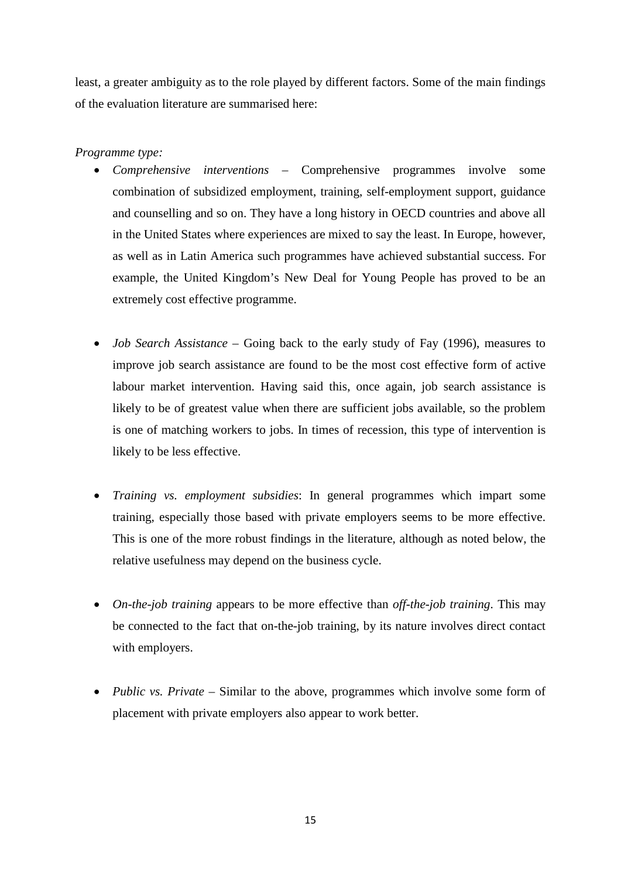least, a greater ambiguity as to the role played by different factors. Some of the main findings of the evaluation literature are summarised here:

#### *Programme type:*

- *Comprehensive interventions –* Comprehensive programmes involve some combination of subsidized employment, training, self-employment support, guidance and counselling and so on. They have a long history in OECD countries and above all in the United States where experiences are mixed to say the least. In Europe, however, as well as in Latin America such programmes have achieved substantial success. For example, the United Kingdom's New Deal for Young People has proved to be an extremely cost effective programme.
- *Job Search Assistance* Going back to the early study of Fay (1996), measures to improve job search assistance are found to be the most cost effective form of active labour market intervention. Having said this, once again, job search assistance is likely to be of greatest value when there are sufficient jobs available, so the problem is one of matching workers to jobs. In times of recession, this type of intervention is likely to be less effective.
- *Training vs. employment subsidies*: In general programmes which impart some training, especially those based with private employers seems to be more effective. This is one of the more robust findings in the literature, although as noted below, the relative usefulness may depend on the business cycle.
- *On-the-job training* appears to be more effective than *off-the-job training*. This may be connected to the fact that on-the-job training, by its nature involves direct contact with employers.
- *Public vs. Private* Similar to the above, programmes which involve some form of placement with private employers also appear to work better.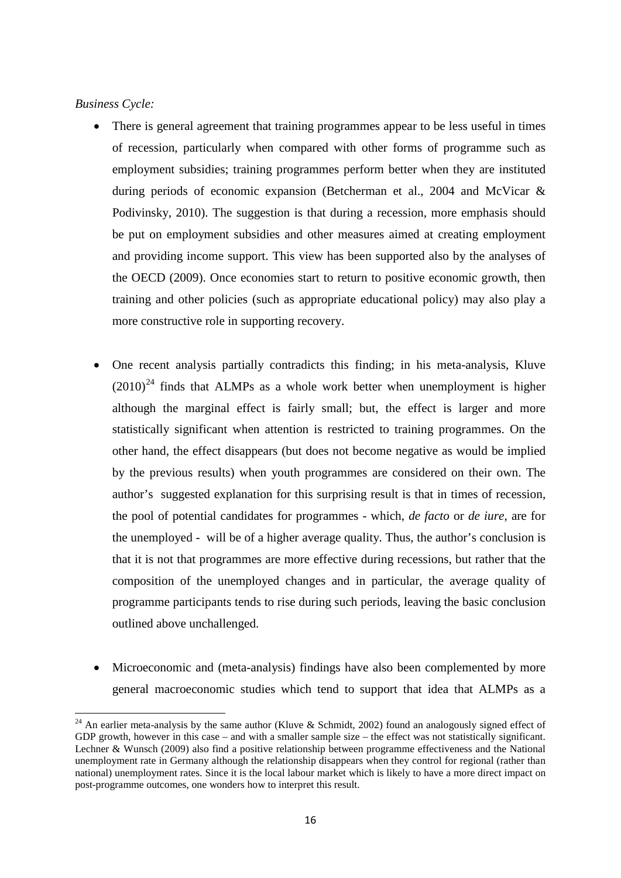#### *Business Cycle:*

- There is general agreement that training programmes appear to be less useful in times of recession, particularly when compared with other forms of programme such as employment subsidies; training programmes perform better when they are instituted during periods of economic expansion (Betcherman et al., 2004 and McVicar & Podivinsky, 2010). The suggestion is that during a recession, more emphasis should be put on employment subsidies and other measures aimed at creating employment and providing income support. This view has been supported also by the analyses of the OECD (2009). Once economies start to return to positive economic growth, then training and other policies (such as appropriate educational policy) may also play a more constructive role in supporting recovery.
- One recent analysis partially contradicts this finding; in his meta-analysis, Kluve  $(2010)^{24}$  $(2010)^{24}$  $(2010)^{24}$  finds that ALMPs as a whole work better when unemployment is higher although the marginal effect is fairly small; but, the effect is larger and more statistically significant when attention is restricted to training programmes. On the other hand, the effect disappears (but does not become negative as would be implied by the previous results) when youth programmes are considered on their own. The author's suggested explanation for this surprising result is that in times of recession, the pool of potential candidates for programmes - which, *de facto* or *de iure*, are for the unemployed - will be of a higher average quality. Thus, the author's conclusion is that it is not that programmes are more effective during recessions, but rather that the composition of the unemployed changes and in particular, the average quality of programme participants tends to rise during such periods, leaving the basic conclusion outlined above unchallenged.
- Microeconomic and (meta-analysis) findings have also been complemented by more general macroeconomic studies which tend to support that idea that ALMPs as a

<sup>&</sup>lt;sup>24</sup> An earlier meta-analysis by the same author (Kluve & Schmidt, 2002) found an analogously signed effect of GDP growth, however in this case – and with a smaller sample size – the effect was not statistically significant. Lechner & Wunsch (2009) also find a positive relationship between programme effectiveness and the National unemployment rate in Germany although the relationship disappears when they control for regional (rather than national) unemployment rates. Since it is the local labour market which is likely to have a more direct impact on post-programme outcomes, one wonders how to interpret this result.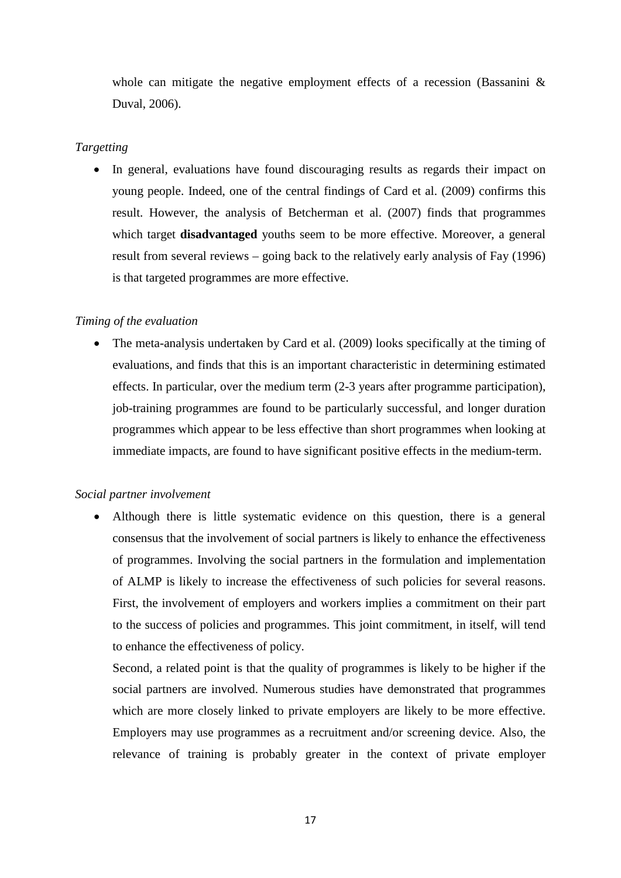whole can mitigate the negative employment effects of a recession (Bassanini & Duval, 2006).

#### *Targetting*

• In general, evaluations have found discouraging results as regards their impact on young people. Indeed, one of the central findings of Card et al. (2009) confirms this result. However, the analysis of Betcherman et al. (2007) finds that programmes which target **disadvantaged** youths seem to be more effective. Moreover, a general result from several reviews – going back to the relatively early analysis of Fay (1996) is that targeted programmes are more effective.

#### *Timing of the evaluation*

• The meta-analysis undertaken by Card et al. (2009) looks specifically at the timing of evaluations, and finds that this is an important characteristic in determining estimated effects. In particular, over the medium term (2-3 years after programme participation), job-training programmes are found to be particularly successful, and longer duration programmes which appear to be less effective than short programmes when looking at immediate impacts, are found to have significant positive effects in the medium-term.

#### *Social partner involvement*

• Although there is little systematic evidence on this question, there is a general consensus that the involvement of social partners is likely to enhance the effectiveness of programmes. Involving the social partners in the formulation and implementation of ALMP is likely to increase the effectiveness of such policies for several reasons. First, the involvement of employers and workers implies a commitment on their part to the success of policies and programmes. This joint commitment, in itself, will tend to enhance the effectiveness of policy.

Second*,* a related point is that the quality of programmes is likely to be higher if the social partners are involved. Numerous studies have demonstrated that programmes which are more closely linked to private employers are likely to be more effective. Employers may use programmes as a recruitment and/or screening device. Also, the relevance of training is probably greater in the context of private employer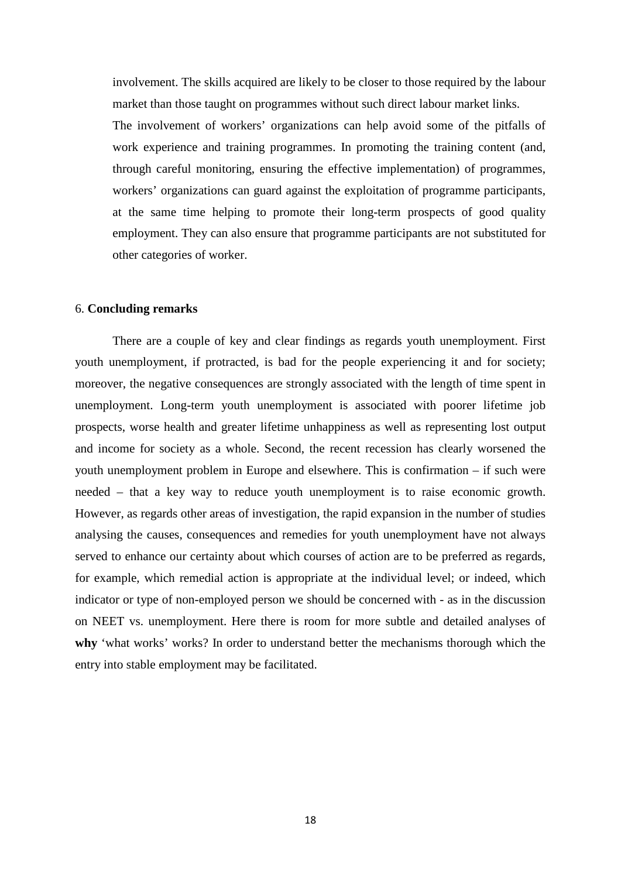involvement. The skills acquired are likely to be closer to those required by the labour market than those taught on programmes without such direct labour market links.

The involvement of workers' organizations can help avoid some of the pitfalls of work experience and training programmes. In promoting the training content (and, through careful monitoring, ensuring the effective implementation) of programmes, workers' organizations can guard against the exploitation of programme participants, at the same time helping to promote their long-term prospects of good quality employment. They can also ensure that programme participants are not substituted for other categories of worker.

#### 6. **Concluding remarks**

There are a couple of key and clear findings as regards youth unemployment. First youth unemployment, if protracted, is bad for the people experiencing it and for society; moreover, the negative consequences are strongly associated with the length of time spent in unemployment. Long-term youth unemployment is associated with poorer lifetime job prospects, worse health and greater lifetime unhappiness as well as representing lost output and income for society as a whole. Second, the recent recession has clearly worsened the youth unemployment problem in Europe and elsewhere. This is confirmation – if such were needed – that a key way to reduce youth unemployment is to raise economic growth. However, as regards other areas of investigation, the rapid expansion in the number of studies analysing the causes, consequences and remedies for youth unemployment have not always served to enhance our certainty about which courses of action are to be preferred as regards, for example, which remedial action is appropriate at the individual level; or indeed, which indicator or type of non-employed person we should be concerned with - as in the discussion on NEET vs. unemployment. Here there is room for more subtle and detailed analyses of **why** 'what works' works? In order to understand better the mechanisms thorough which the entry into stable employment may be facilitated.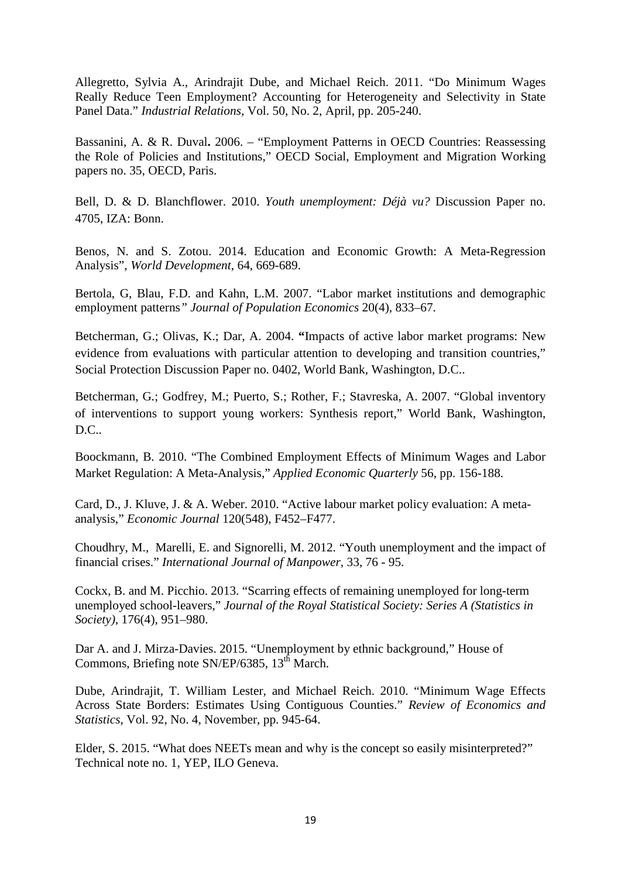Allegretto, Sylvia A., Arindrajit Dube, and Michael Reich. 2011. "Do Minimum Wages Really Reduce Teen Employment? Accounting for Heterogeneity and Selectivity in State Panel Data." *Industrial Relations*, Vol. 50, No. 2, April, pp. 205-240.

Bassanini, A. & R. Duval**.** 2006. – "Employment Patterns in OECD Countries: Reassessing the Role of Policies and Institutions," OECD Social, Employment and Migration Working papers no. 35, OECD, Paris.

Bell, D. & D. Blanchflower. 2010. *Youth unemployment: Déjà vu?* Discussion Paper no. 4705, IZA: Bonn.

Benos, N. and S. Zotou. 2014. Education and Economic Growth: A Meta-Regression Analysis", *World Development*, 64, 669-689.

Bertola, G, Blau, F.D. and Kahn, L.M. 2007. "Labor market institutions and demographic employment patterns*" Journal of Population Economics* 20(4), 833–67.

Betcherman, G.; Olivas, K.; Dar, A. 2004. **"**Impacts of active labor market programs: New evidence from evaluations with particular attention to developing and transition countries," Social Protection Discussion Paper no. 0402, World Bank, Washington, D.C..

Betcherman, G*.*; Godfrey, M.; Puerto, S.; Rother, F.; Stavreska, A. 2007. "Global inventory of interventions to support young workers: Synthesis report," World Bank, Washington, D.C..

Boockmann, B. 2010. "The Combined Employment Effects of Minimum Wages and Labor Market Regulation: A Meta-Analysis," *Applied Economic Quarterly* 56, pp. 156-188.

Card, D., J. Kluve, J. & A. Weber. 2010. "Active labour market policy evaluation: A metaanalysis," *Economic Journal* 120(548), F452–F477.

Choudhry, M., Marelli, E. and Signorelli, M. 2012. "Youth unemployment and the impact of financial crises." *International Journal of Manpower,* 33, 76 - 95.

Cockx, B. and M. Picchio. 2013. "Scarring effects of remaining unemployed for long-term unemployed school-leavers," *Journal of the Royal Statistical Society: Series A (Statistics in Society)*, 176(4), 951–980.

Dar A. and J. Mirza-Davies. 2015. "Unemployment by ethnic background," House of Commons, Briefing note SN/EP/6385, 13<sup>th</sup> March.

Dube, Arindrajit, T. William Lester, and Michael Reich. 2010. "Minimum Wage Effects Across State Borders: Estimates Using Contiguous Counties." *Review of Economics and Statistics*, Vol. 92, No. 4, November, pp. 945-64.

Elder, S. 2015. "What does NEETs mean and why is the concept so easily misinterpreted?" Technical note no. 1, YEP, ILO Geneva.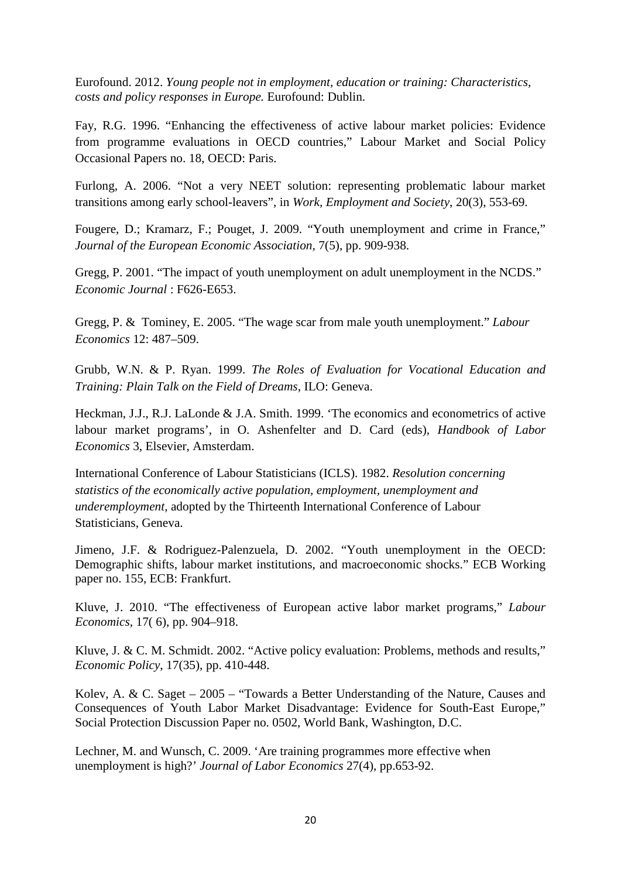Eurofound. 2012. *Young people not in employment, education or training: Characteristics, costs and policy responses in Europe.* Eurofound: Dublin.

Fay, R.G. 1996. "Enhancing the effectiveness of active labour market policies: Evidence from programme evaluations in OECD countries," Labour Market and Social Policy Occasional Papers no. 18, OECD: Paris.

Furlong, A. 2006. "Not a very NEET solution: representing problematic labour market transitions among early school-leavers", in *Work, Employment and Society*, 20(3), 553-69.

Fougere, D.; Kramarz, F.; Pouget, J. 2009. "Youth unemployment and crime in France," *Journal of the European Economic Association,* 7(5), pp. 909-938.

Gregg, P. 2001. "The impact of youth unemployment on adult unemployment in the NCDS." *Economic Journal* : F626-E653.

Gregg, P. & Tominey, E. 2005. "The wage scar from male youth unemployment." *Labour Economics* 12: 487–509.

Grubb, W.N. & P. Ryan. 1999. *The Roles of Evaluation for Vocational Education and Training: Plain Talk on the Field of Dreams*, ILO: Geneva.

Heckman, J.J., R.J. LaLonde & J.A. Smith. 1999. 'The economics and econometrics of active labour market programs', in O. Ashenfelter and D. Card (eds), *Handbook of Labor Economics* 3, Elsevier, Amsterdam.

International Conference of Labour Statisticians (ICLS). 1982. *Resolution concerning statistics of the economically active population, employment, unemployment and underemployment*, adopted by the Thirteenth International Conference of Labour Statisticians, Geneva.

Jimeno, J.F. & Rodriguez-Palenzuela, D. 2002. "Youth unemployment in the OECD: Demographic shifts, labour market institutions, and macroeconomic shocks." ECB Working paper no. 155, ECB: Frankfurt.

Kluve, J. 2010. "The effectiveness of European active labor market programs," *Labour Economics*, 17( 6), pp. 904–918.

Kluve, J. & C. M. Schmidt. 2002. "Active policy evaluation: Problems, methods and results," *Economic Policy*, 17(35), pp. 410-448.

Kolev, A. & C. Saget – 2005 – "Towards a Better Understanding of the Nature, Causes and Consequences of Youth Labor Market Disadvantage: Evidence for South-East Europe," Social Protection Discussion Paper no. 0502, World Bank, Washington, D.C.

Lechner, M. and Wunsch, C. 2009. 'Are training programmes more effective when unemployment is high?' *Journal of Labor Economics* 27(4), pp.653-92.